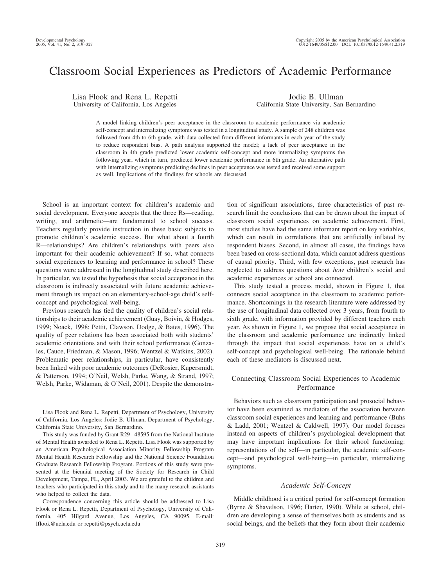# Classroom Social Experiences as Predictors of Academic Performance

Lisa Flook and Rena L. Repetti University of California, Los Angeles

Jodie B. Ullman California State University, San Bernardino

A model linking children's peer acceptance in the classroom to academic performance via academic self-concept and internalizing symptoms was tested in a longitudinal study. A sample of 248 children was followed from 4th to 6th grade, with data collected from different informants in each year of the study to reduce respondent bias. A path analysis supported the model; a lack of peer acceptance in the classroom in 4th grade predicted lower academic self-concept and more internalizing symptoms the following year, which in turn, predicted lower academic performance in 6th grade. An alternative path with internalizing symptoms predicting declines in peer acceptance was tested and received some support as well. Implications of the findings for schools are discussed.

School is an important context for children's academic and social development. Everyone accepts that the three Rs—reading, writing, and arithmetic—are fundamental to school success. Teachers regularly provide instruction in these basic subjects to promote children's academic success. But what about a fourth R—relationships? Are children's relationships with peers also important for their academic achievement? If so, what connects social experiences to learning and performance in school? These questions were addressed in the longitudinal study described here. In particular, we tested the hypothesis that social acceptance in the classroom is indirectly associated with future academic achievement through its impact on an elementary-school-age child's selfconcept and psychological well-being.

Previous research has tied the quality of children's social relationships to their academic achievement (Guay, Boivin, & Hodges, 1999; Noack, 1998; Pettit, Clawson, Dodge, & Bates, 1996). The quality of peer relations has been associated both with students' academic orientations and with their school performance (Gonzales, Cauce, Friedman, & Mason, 1996; Wentzel & Watkins, 2002). Problematic peer relationships, in particular, have consistently been linked with poor academic outcomes (DeRosier, Kupersmidt, & Patterson, 1994; O'Neil, Welsh, Parke, Wang, & Strand, 1997; Welsh, Parke, Widaman, & O'Neil, 2001). Despite the demonstration of significant associations, three characteristics of past research limit the conclusions that can be drawn about the impact of classroom social experiences on academic achievement. First, most studies have had the same informant report on key variables, which can result in correlations that are artificially inflated by respondent biases. Second, in almost all cases, the findings have been based on cross-sectional data, which cannot address questions of causal priority. Third, with few exceptions, past research has neglected to address questions about *how* children's social and academic experiences at school are connected.

This study tested a process model, shown in Figure 1, that connects social acceptance in the classroom to academic performance. Shortcomings in the research literature were addressed by the use of longitudinal data collected over 3 years, from fourth to sixth grade, with information provided by different teachers each year. As shown in Figure 1, we propose that social acceptance in the classroom and academic performance are indirectly linked through the impact that social experiences have on a child's self-concept and psychological well-being. The rationale behind each of these mediators is discussed next.

# Connecting Classroom Social Experiences to Academic Performance

Behaviors such as classroom participation and prosocial behavior have been examined as mediators of the association between classroom social experiences and learning and performance (Buhs & Ladd, 2001; Wentzel & Caldwell, 1997). Our model focuses instead on aspects of children's psychological development that may have important implications for their school functioning: representations of the self—in particular, the academic self-concept—and psychological well-being—in particular, internalizing symptoms.

# *Academic Self-Concept*

Middle childhood is a critical period for self-concept formation (Byrne & Shavelson, 1996; Harter, 1990). While at school, children are developing a sense of themselves both as students and as social beings, and the beliefs that they form about their academic

Lisa Flook and Rena L. Repetti, Department of Psychology, University of California, Los Angeles; Jodie B. Ullman, Department of Psychology, California State University, San Bernardino.

This study was funded by Grant R29 – 48595 from the National Institute of Mental Health awarded to Rena L. Repetti. Lisa Flook was supported by an American Psychological Association Minority Fellowship Program Mental Health Research Fellowship and the National Science Foundation Graduate Research Fellowship Program. Portions of this study were presented at the biennial meeting of the Society for Research in Child Development, Tampa, FL, April 2003. We are grateful to the children and teachers who participated in this study and to the many research assistants who helped to collect the data.

Correspondence concerning this article should be addressed to Lisa Flook or Rena L. Repetti, Department of Psychology, University of California, 405 Hilgard Avenue, Los Angeles, CA 90095. E-mail: lflook@ucla.edu or repetti@psych.ucla.edu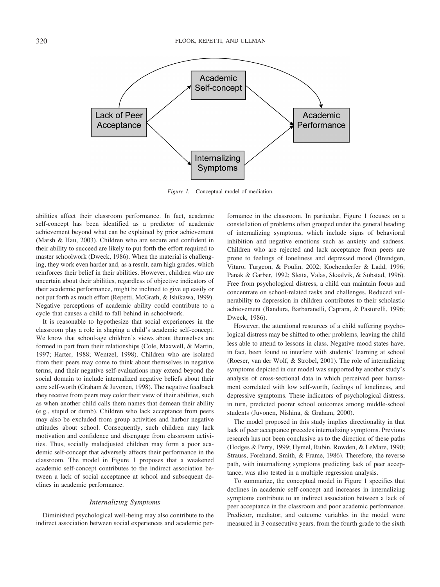

*Figure 1.* Conceptual model of mediation.

abilities affect their classroom performance. In fact, academic self-concept has been identified as a predictor of academic achievement beyond what can be explained by prior achievement (Marsh & Hau, 2003). Children who are secure and confident in their ability to succeed are likely to put forth the effort required to master schoolwork (Dweck, 1986). When the material is challenging, they work even harder and, as a result, earn high grades, which reinforces their belief in their abilities. However, children who are uncertain about their abilities, regardless of objective indicators of their academic performance, might be inclined to give up easily or not put forth as much effort (Repetti, McGrath, & Ishikawa, 1999). Negative perceptions of academic ability could contribute to a cycle that causes a child to fall behind in schoolwork.

It is reasonable to hypothesize that social experiences in the classroom play a role in shaping a child's academic self-concept. We know that school-age children's views about themselves are formed in part from their relationships (Cole, Maxwell, & Martin, 1997; Harter, 1988; Wentzel, 1998). Children who are isolated from their peers may come to think about themselves in negative terms, and their negative self-evaluations may extend beyond the social domain to include internalized negative beliefs about their core self-worth (Graham & Juvonen, 1998). The negative feedback they receive from peers may color their view of their abilities, such as when another child calls them names that demean their ability (e.g., stupid or dumb). Children who lack acceptance from peers may also be excluded from group activities and harbor negative attitudes about school. Consequently, such children may lack motivation and confidence and disengage from classroom activities. Thus, socially maladjusted children may form a poor academic self-concept that adversely affects their performance in the classroom. The model in Figure 1 proposes that a weakened academic self-concept contributes to the indirect association between a lack of social acceptance at school and subsequent declines in academic performance.

#### *Internalizing Symptoms*

Diminished psychological well-being may also contribute to the indirect association between social experiences and academic performance in the classroom. In particular, Figure 1 focuses on a constellation of problems often grouped under the general heading of internalizing symptoms, which include signs of behavioral inhibition and negative emotions such as anxiety and sadness. Children who are rejected and lack acceptance from peers are prone to feelings of loneliness and depressed mood (Brendgen, Vitaro, Turgeon, & Poulin, 2002; Kochenderfer & Ladd, 1996; Panak & Garber, 1992; Sletta, Valas, Skaalvik, & Sobstad, 1996). Free from psychological distress, a child can maintain focus and concentrate on school-related tasks and challenges. Reduced vulnerability to depression in children contributes to their scholastic achievement (Bandura, Barbaranelli, Caprara, & Pastorelli, 1996; Dweck, 1986).

However, the attentional resources of a child suffering psychological distress may be shifted to other problems, leaving the child less able to attend to lessons in class. Negative mood states have, in fact, been found to interfere with students' learning at school (Roeser, van der Wolf, & Strobel, 2001). The role of internalizing symptoms depicted in our model was supported by another study's analysis of cross-sectional data in which perceived peer harassment correlated with low self-worth, feelings of loneliness, and depressive symptoms. These indicators of psychological distress, in turn, predicted poorer school outcomes among middle-school students (Juvonen, Nishina, & Graham, 2000).

The model proposed in this study implies directionality in that lack of peer acceptance precedes internalizing symptoms. Previous research has not been conclusive as to the direction of these paths (Hodges & Perry, 1999; Hymel, Rubin, Rowden, & LeMare, 1990; Strauss, Forehand, Smith, & Frame, 1986). Therefore, the reverse path, with internalizing symptoms predicting lack of peer acceptance, was also tested in a multiple regression analysis.

To summarize, the conceptual model in Figure 1 specifies that declines in academic self-concept and increases in internalizing symptoms contribute to an indirect association between a lack of peer acceptance in the classroom and poor academic performance. Predictor, mediator, and outcome variables in the model were measured in 3 consecutive years, from the fourth grade to the sixth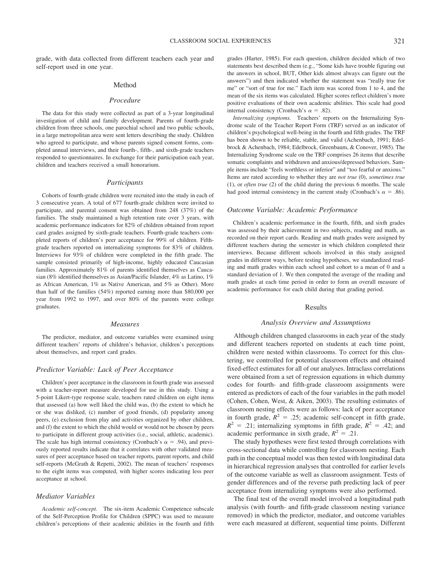grade, with data collected from different teachers each year and self-report used in one year.

# Method

## *Procedure*

The data for this study were collected as part of a 3-year longitudinal investigation of child and family development. Parents of fourth-grade children from three schools, one parochial school and two public schools, in a large metropolitan area were sent letters describing the study. Children who agreed to participate, and whose parents signed consent forms, completed annual interviews, and their fourth-, fifth-, and sixth-grade teachers responded to questionnaires. In exchange for their participation each year, children and teachers received a small honorarium.

# *Participants*

Cohorts of fourth-grade children were recruited into the study in each of 3 consecutive years. A total of 677 fourth-grade children were invited to participate, and parental consent was obtained from 248 (37%) of the families. The study maintained a high retention rate over 3 years, with academic performance indicators for 82% of children obtained from report card grades assigned by sixth-grade teachers. Fourth-grade teachers completed reports of children's peer acceptance for 99% of children. Fifthgrade teachers reported on internalizing symptoms for 83% of children. Interviews for 93% of children were completed in the fifth grade. The sample consisted primarily of high-income, highly educated Caucasian families. Approximately 81% of parents identified themselves as Caucasian (8% identified themselves as Asian/Pacific Islander, 4% as Latino, 1% as African American, 1% as Native American, and 5% as Other). More than half of the families (54%) reported earning more than \$80,000 per year from 1992 to 1997, and over 80% of the parents were college graduates.

#### *Measures*

The predictor, mediator, and outcome variables were examined using different teachers' reports of children's behavior, children's perceptions about themselves, and report card grades.

#### *Predictor Variable: Lack of Peer Acceptance*

Children's peer acceptance in the classroom in fourth grade was assessed with a teacher-report measure developed for use in this study. Using a 5-point Likert-type response scale, teachers rated children on eight items that assessed (a) how well liked the child was, (b) the extent to which he or she was disliked, (c) number of good friends, (d) popularity among peers, (e) exclusion from play and activities organized by other children, and (f) the extent to which the child would or would not be chosen by peers to participate in different group activities (i.e., social, athletic, academic). The scale has high internal consistency (Cronbach's  $\alpha = .94$ ), and previously reported results indicate that it correlates with other validated measures of peer acceptance based on teacher reports, parent reports, and child self-reports (McGrath & Repetti, 2002). The mean of teachers' responses to the eight items was computed, with higher scores indicating less peer acceptance at school.

#### *Mediator Variables*

*Academic self-concept.* The six-item Academic Competence subscale of the Self-Perception Profile for Children (SPPC) was used to measure children's perceptions of their academic abilities in the fourth and fifth grades (Harter, 1985). For each question, children decided which of two statements best described them (e.g., "Some kids have trouble figuring out the answers in school, BUT, Other kids almost always can figure out the answers") and then indicated whether the statement was "really true for me" or "sort of true for me." Each item was scored from 1 to 4, and the mean of the six items was calculated. Higher scores reflect children's more positive evaluations of their own academic abilities. This scale had good internal consistency (Cronbach's  $\alpha = .82$ ).

*Internalizing symptoms.* Teachers' reports on the Internalizing Syndrome scale of the Teacher Report Form (TRF) served as an indicator of children's psychological well-being in the fourth and fifth grades. The TRF has been shown to be reliable, stable, and valid (Achenbach, 1991; Edelbrock & Achenbach, 1984; Edelbrock, Greenbaum, & Conover, 1985). The Internalizing Syndrome scale on the TRF comprises 26 items that describe somatic complaints and withdrawn and anxious/depressed behaviors. Sample items include "feels worthless or inferior" and "too fearful or anxious." Items are rated according to whether they are *not true* (0), *sometimes true* (1), or *often true* (2) of the child during the previous 6 months. The scale had good internal consistency in the current study (Cronbach's  $\alpha = .86$ ).

#### *Outcome Variable: Academic Performance*

Children's academic performance in the fourth, fifth, and sixth grades was assessed by their achievement in two subjects, reading and math, as recorded on their report cards. Reading and math grades were assigned by different teachers during the semester in which children completed their interviews. Because different schools involved in this study assigned grades in different ways, before testing hypotheses, we standardized reading and math grades within each school and cohort to a mean of 0 and a standard deviation of 1. We then computed the average of the reading and math grades at each time period in order to form an overall measure of academic performance for each child during that grading period.

#### Results

#### *Analysis Overview and Assumptions*

Although children changed classrooms in each year of the study and different teachers reported on students at each time point, children were nested within classrooms. To correct for this clustering, we controlled for potential classroom effects and obtained fixed-effect estimates for all of our analyses. Intraclass correlations were obtained from a set of regression equations in which dummy codes for fourth- and fifth-grade classroom assignments were entered as predictors of each of the four variables in the path model (Cohen, Cohen, West, & Aiken, 2003). The resulting estimates of classroom nesting effects were as follows: lack of peer acceptance in fourth grade,  $R^2 = .25$ ; academic self-concept in fifth grade,  $R^2$  = .21; internalizing symptoms in fifth grade,  $R^2$  = .42; and academic performance in sixth grade,  $R^2 = .21$ .

The study hypotheses were first tested through correlations with cross-sectional data while controlling for classroom nesting. Each path in the conceptual model was then tested with longitudinal data in hierarchical regression analyses that controlled for earlier levels of the outcome variable as well as classroom assignment. Tests of gender differences and of the reverse path predicting lack of peer acceptance from internalizing symptoms were also performed.

The final test of the overall model involved a longitudinal path analysis (with fourth- and fifth-grade classroom nesting variance removed) in which the predictor, mediator, and outcome variables were each measured at different, sequential time points. Different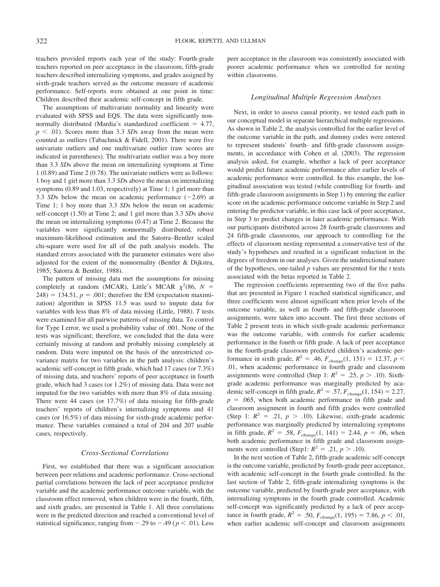teachers provided reports each year of the study: Fourth-grade teachers reported on peer acceptance in the classroom, fifth-grade teachers described internalizing symptoms, and grades assigned by sixth-grade teachers served as the outcome measure of academic performance. Self-reports were obtained at one point in time: Children described their academic self-concept in fifth grade.

The assumptions of multivariate normality and linearity were evaluated with SPSS and EQS. The data were significantly nonnormally distributed (Mardia's standardized coefficient  $= 4.77$ ,  $p < .01$ ). Scores more than 3.3 *SD*s away from the mean were counted as outliers (Tabachnick & Fidell, 2001). There were five univariate outliers and one multivariate outlier (raw scores are indicated in parentheses). The multivariate outlier was a boy more than 3.3 *SD*s above the mean on internalizing symptoms at Time 1 (0.89) and Time 2 (0.78). The univariate outliers were as follows: 1 boy and 1 girl more than 3.3 *SD*s above the mean on internalizing symptoms (0.89 and 1.03, respectively) at Time 1; 1 girl more than 3.3 *SDs* below the mean on academic performance  $(-2.69)$  at Time 1; 1 boy more than 3.3 *SD*s below the mean on academic self-concept (1.50) at Time 2; and 1 girl more than 3.3 *SD*s above the mean on internalizing symptoms (0.47) at Time 2. Because the variables were significantly nonnormally distributed, robust maximum-likelihood estimation and the Satorra–Bentler scaled chi-square were used for all of the path analysis models. The standard errors associated with the parameter estimates were also adjusted for the extent of the nonnormality (Bentler & Dijkstra, 1985; Satorra & Bentler, 1988).

The pattern of missing data met the assumptions for missing completely at random (MCAR), Little's MCAR  $\chi^2(86, N =$  $248$ ) = 134.51,  $p = .001$ ; therefore the EM (expectation maximization) algorithm in SPSS 11.5 was used to impute data for variables with less than 8% of data missing (Little, 1988). *T* tests were examined for all pairwise patterns of missing data. To control for Type I error, we used a probability value of .001. None of the tests was significant; therefore, we concluded that the data were certainly missing at random and probably missing completely at random. Data were imputed on the basis of the unrestricted covariance matrix for two variables in the path analysis: children's academic self-concept in fifth grade, which had 17 cases (or 7.3%) of missing data, and teachers' reports of peer acceptance in fourth grade, which had 3 cases (or 1.2%) of missing data. Data were not imputed for the two variables with more than 8% of data missing. There were 44 cases (or 17.7%) of data missing for fifth-grade teachers' reports of children's internalizing symptoms and 41 cases (or 16.5%) of data missing for sixth-grade academic performance. These variables contained a total of 204 and 207 usable cases, respectively.

# *Cross-Sectional Correlations*

First, we established that there was a significant association between peer relations and academic performance. Cross-sectional partial correlations between the lack of peer acceptance predictor variable and the academic performance outcome variable, with the classroom effect removed, when children were in the fourth, fifth, and sixth grades, are presented in Table 1. All three correlations were in the predicted direction and reached a conventional level of statistical significance, ranging from  $-.29$  to  $-.49$  ( $p < .01$ ). Less

peer acceptance in the classroom was consistently associated with poorer academic performance when we controlled for nesting within classrooms.

# *Longitudinal Multiple Regression Analyses*

Next, in order to assess causal priority, we tested each path in our conceptual model in separate hierarchical multiple regressions. As shown in Table 2, the analysis controlled for the earlier level of the outcome variable in the path, and dummy codes were entered to represent students' fourth- and fifth-grade classroom assignments, in accordance with Cohen et al. (2003). The regression analysis asked, for example, whether a lack of peer acceptance would predict future academic performance after earlier levels of academic performance were controlled. In this example, the longitudinal association was tested (while controlling for fourth- and fifth-grade classroom assignments in Step 1) by entering the earlier score on the academic performance outcome variable in Step 2 and entering the predictor variable, in this case lack of peer acceptance, in Step 3 to predict changes in later academic performance. With our participants distributed across 28 fourth-grade classrooms and 24 fifth-grade classrooms, our approach to controlling for the effects of classroom nesting represented a conservative test of the study's hypotheses and resulted in a significant reduction in the degrees of freedom in our analyses. Given the unidirectional nature of the hypotheses, one-tailed *p* values are presented for the *t* tests associated with the betas reported in Table 2.

The regression coefficients representing two of the five paths that are presented in Figure 1 reached statistical significance, and three coefficients were almost significant when prior levels of the outcome variable, as well as fourth- and fifth-grade classroom assignments, were taken into account. The first three sections of Table 2 present tests in which sixth-grade academic performance was the outcome variable, with controls for earlier academic performance in the fourth or fifth grade. A lack of peer acceptance in the fourth-grade classroom predicted children's academic performance in sixth grade,  $R^2$  = .46,  $F_{change}(1, 151)$  = 12.37,  $p$  < .01, when academic performance in fourth grade and classroom assignments were controlled (Step 1:  $R^2 = .25$ ,  $p > .10$ ). Sixthgrade academic performance was marginally predicted by academic self-concept in fifth grade,  $R^2 = .57$ ,  $F_{change}(1, 154) = 2.27$ ,  $p = .065$ , when both academic performance in fifth grade and classroom assignment in fourth and fifth grades were controlled (Step 1:  $R^2 = .21$ ,  $p > .10$ ). Likewise, sixth-grade academic performance was marginally predicted by internalizing symptoms in fifth grade,  $R^2 = .58$ ,  $F_{change}(1, 141) = 2.44$ ,  $p = .06$ , when both academic performance in fifth grade and classroom assignments were controlled (Step1:  $R^2 = .21$ ,  $p > .10$ ).

In the next section of Table 2, fifth-grade academic self-concept is the outcome variable, predicted by fourth-grade peer acceptance, with academic self-concept in the fourth grade controlled. In the last section of Table 2, fifth-grade internalizing symptoms is the outcome variable, predicted by fourth-grade peer acceptance, with internalizing symptoms in the fourth grade controlled. Academic self-concept was significantly predicted by a lack of peer acceptance in fourth grade,  $R^2 = .50$ ,  $F_{change}(1, 195) = 7.86$ ,  $p < .01$ , when earlier academic self-concept and classroom assignments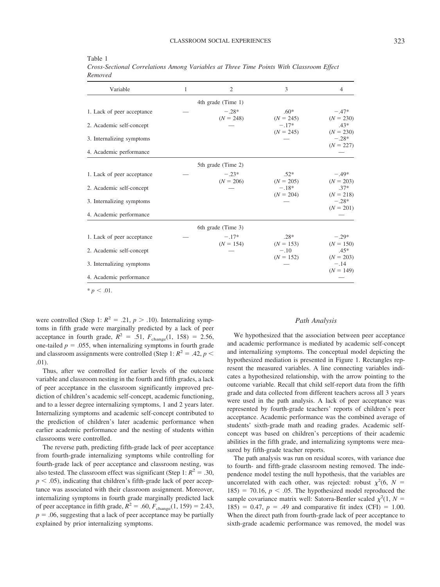| Variable                   | 1 | $\overline{2}$         | 3                      | $\overline{4}$         |
|----------------------------|---|------------------------|------------------------|------------------------|
|                            |   | 4th grade (Time 1)     |                        |                        |
| 1. Lack of peer acceptance |   | $-.28*$<br>$(N = 248)$ | $.60*$<br>$(N = 245)$  | $-.47*$<br>$(N = 230)$ |
| 2. Academic self-concept   |   |                        | $-.17*$<br>$(N = 245)$ | $.43*$<br>$(N = 230)$  |
| 3. Internalizing symptoms  |   |                        |                        | $-.28*$<br>$(N = 227)$ |
| 4. Academic performance    |   |                        |                        |                        |
|                            |   | 5th grade (Time 2)     |                        |                        |
| 1. Lack of peer acceptance |   | $-.23*$<br>$(N = 206)$ | $.52*$<br>$(N = 205)$  | $-.49*$<br>$(N = 203)$ |
| 2. Academic self-concept   |   |                        | $-.18*$<br>$(N = 204)$ | $.37*$<br>$(N = 218)$  |
| 3. Internalizing symptoms  |   |                        |                        | $-.28*$<br>$(N = 201)$ |
| 4. Academic performance    |   |                        |                        |                        |
|                            |   | 6th grade (Time 3)     |                        |                        |
| 1. Lack of peer acceptance |   | $-.17*$<br>$(N = 154)$ | $.28*$<br>$(N = 153)$  | $-.29*$<br>$(N = 150)$ |
| 2. Academic self-concept   |   |                        | $-.10$<br>$(N = 152)$  | $.45*$<br>$(N = 203)$  |
| 3. Internalizing symptoms  |   |                        |                        | $-.14$<br>$(N = 149)$  |
| 4. Academic performance    |   |                        |                        |                        |

Table 1 *Cross-Sectional Correlations Among Variables at Three Time Points With Classroom Effect Removed*

 $* p < .01$ .

were controlled (Step 1:  $R^2 = .21$ ,  $p > .10$ ). Internalizing symptoms in fifth grade were marginally predicted by a lack of peer acceptance in fourth grade,  $R^2 = .51$ ,  $F_{change}(1, 158) = 2.56$ , one-tailed  $p = .055$ , when internalizing symptoms in fourth grade and classroom assignments were controlled (Step 1:  $R^2 = .42$ ,  $p <$ .01).

Thus, after we controlled for earlier levels of the outcome variable and classroom nesting in the fourth and fifth grades, a lack of peer acceptance in the classroom significantly improved prediction of children's academic self-concept, academic functioning, and to a lesser degree internalizing symptoms, 1 and 2 years later. Internalizing symptoms and academic self-concept contributed to the prediction of children's later academic performance when earlier academic performance and the nesting of students within classrooms were controlled.

The reverse path, predicting fifth-grade lack of peer acceptance from fourth-grade internalizing symptoms while controlling for fourth-grade lack of peer acceptance and classroom nesting, was also tested. The classroom effect was significant (Step 1:  $R^2 = .30$ ,  $p < .05$ ), indicating that children's fifth-grade lack of peer acceptance was associated with their classroom assignment. Moreover, internalizing symptoms in fourth grade marginally predicted lack of peer acceptance in fifth grade,  $R^2 = .60$ ,  $F_{change}(1, 159) = 2.43$ ,  $p = 0.06$ , suggesting that a lack of peer acceptance may be partially explained by prior internalizing symptoms.

#### *Path Analysis*

We hypothesized that the association between peer acceptance and academic performance is mediated by academic self-concept and internalizing symptoms. The conceptual model depicting the hypothesized mediation is presented in Figure 1. Rectangles represent the measured variables. A line connecting variables indicates a hypothesized relationship, with the arrow pointing to the outcome variable. Recall that child self-report data from the fifth grade and data collected from different teachers across all 3 years were used in the path analysis. A lack of peer acceptance was represented by fourth-grade teachers' reports of children's peer acceptance. Academic performance was the combined average of students' sixth-grade math and reading grades. Academic selfconcept was based on children's perceptions of their academic abilities in the fifth grade, and internalizing symptoms were measured by fifth-grade teacher reports.

The path analysis was run on residual scores, with variance due to fourth- and fifth-grade classroom nesting removed. The independence model testing the null hypothesis, that the variables are uncorrelated with each other, was rejected: robust  $\chi^2(6, N =$  $185$ ) = 70.16,  $p < .05$ . The hypothesized model reproduced the sample covariance matrix well: Satorra-Bentler scaled  $\chi^2(1, N =$ 185) = 0.47,  $p = .49$  and comparative fit index (CFI) = 1.00. When the direct path from fourth-grade lack of peer acceptance to sixth-grade academic performance was removed, the model was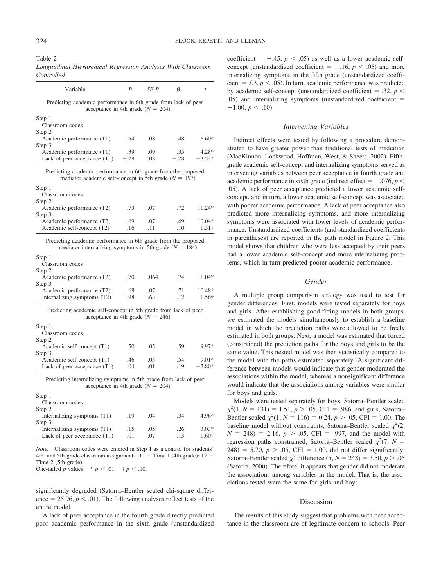Table 2

| Longitudinal Hierarchical Regression Analyses With Classroom |  |  |  |
|--------------------------------------------------------------|--|--|--|
| Controlled                                                   |  |  |  |

| Variable                                                                                                                     | B      | SE B | β      | t             |
|------------------------------------------------------------------------------------------------------------------------------|--------|------|--------|---------------|
| Predicting academic performance in 6th grade from lack of peer<br>acceptance in 4th grade $(N = 204)$                        |        |      |        |               |
| Step 1                                                                                                                       |        |      |        |               |
| Classroom codes                                                                                                              |        |      |        |               |
| Step 2                                                                                                                       |        |      |        |               |
| Academic performance (T1)                                                                                                    | .54    | .08  | .48    | $6.60*$       |
| Step 3                                                                                                                       |        |      |        |               |
| Academic performance (T1)                                                                                                    | .39    | .09  | .35    | $4.28*$       |
| Lack of peer acceptance $(T1)$                                                                                               | $-.28$ | .08  | $-.28$ | $-3.52*$      |
| Step 1<br>Classroom codes                                                                                                    |        |      |        |               |
| Step 2                                                                                                                       |        |      |        |               |
| Academic performance (T2)                                                                                                    | .73    | .07  | .72    | $11.24*$      |
| Step 3                                                                                                                       |        |      |        |               |
| Academic performance (T2)                                                                                                    | .69    | .07  | .69    | $10.04*$      |
| Academic self-concept (T2)                                                                                                   | .16    | .11  | .10    | $1.51\dagger$ |
| Predicting academic performance in 6th grade from the proposed<br>mediator internalizing symptoms in 5th grade ( $N = 184$ ) |        |      |        |               |
| Step 1                                                                                                                       |        |      |        |               |
| Classroom aadas                                                                                                              |        |      |        |               |

| .70  | .064 | .74   | $11.04*$       |
|------|------|-------|----------------|
|      |      |       |                |
| .68  | .07  | -71   | $10.48*$       |
| - 98 | -63  | $-12$ | $-1.56\dagger$ |
|      |      |       |                |

| Predicting academic self-concept in 5th grade from lack of peer |  |
|-----------------------------------------------------------------|--|
| acceptance in 4th grade $(N = 246)$                             |  |

| Step 1                         |     |     |     |          |
|--------------------------------|-----|-----|-----|----------|
| Classroom codes                |     |     |     |          |
| Step 2                         |     |     |     |          |
| Academic self-concept (T1)     | .50 | .05 | .59 | 9.97*    |
| Step 3                         |     |     |     |          |
| Academic self-concept (T1)     | .46 | .05 | .54 | $9.01*$  |
| Lack of peer acceptance $(T1)$ | .04 | .01 | .19 | $-2.80*$ |
|                                |     |     |     |          |

Predicting internalizing symptoms in 5th grade from lack of peer acceptance in 4th grade  $(N = 204)$ 

| $JICU$ 1                       |     |     |     |         |
|--------------------------------|-----|-----|-----|---------|
| Classroom codes                |     |     |     |         |
| Step 2                         |     |     |     |         |
| Internalizing symptoms (T1)    | .19 | -04 | -34 | 4.96*   |
| Step 3                         |     |     |     |         |
| Internalizing symptoms (T1)    | .15 | .05 | .26 | $3.03*$ |
| Lack of peer acceptance $(T1)$ | .01 | .07 | .13 | 1.60†   |
|                                |     |     |     |         |

*Note.* Classroom codes were entered in Step 1 as a control for students' 4th- and 5th-grade classroom assignments.  $T1 =$ Time 1 (4th grade); T2 = Time 2 (5th grade).

One-tailed *p* values:  $* p < .01$ .  $\dagger p < .10$ .

 $C_{\text{max}}$  1

significantly degraded (Satorra–Bentler scaled chi-square difference  $= 25.96, p \leq .01$ ). The following analyses reflect tests of the entire model.

A lack of peer acceptance in the fourth grade directly predicted poor academic performance in the sixth grade (unstandardized

coefficient  $= -0.45$ ,  $p < 0.05$ ) as well as a lower academic selfconcept (unstandardized coefficient  $=$  -.16,  $p < .05$ ) and more internalizing symptoms in the fifth grade (unstandardized coefficient  $= .03, p < .05$ ). In turn, academic performance was predicted by academic self-concept (unstandardized coefficient  $= .32, p \le$ .05) and internalizing symptoms (unstandardized coefficient  $-1.00, p < .10$ ).

#### *Intervening Variables*

Indirect effects were tested by following a procedure demonstrated to have greater power than traditional tests of mediation (MacKinnon, Lockwood, Hoffman, West, & Sheets, 2002). Fifthgrade academic self-concept and internalizing symptoms served as intervening variables between peer acceptance in fourth grade and academic performance in sixth grade (indirect effect  $=$   $-.076, p \le$ .05). A lack of peer acceptance predicted a lower academic selfconcept, and in turn, a lower academic self-concept was associated with poorer academic performance. A lack of peer acceptance also predicted more internalizing symptoms, and more internalizing symptoms were associated with lower levels of academic performance. Unstandardized coefficients (and standardized coefficients in parentheses) are reported in the path model in Figure 2. This model shows that children who were less accepted by their peers had a lower academic self-concept and more internalizing problems, which in turn predicted poorer academic performance.

# *Gender*

A multiple group comparison strategy was used to test for gender differences. First, models were tested separately for boys and girls. After establishing good-fitting models in both groups, we estimated the models simultaneously to establish a baseline model in which the prediction paths were allowed to be freely estimated in both groups. Next, a model was estimated that forced (constrained) the prediction paths for the boys and girls to be the same value. This nested model was then statistically compared to the model with the paths estimated separately. A significant difference between models would indicate that gender moderated the associations within the model, whereas a nonsignificant difference would indicate that the associations among variables were similar for boys and girls.

Models were tested separately for boys, Satorra–Bentler scaled  $\chi^2(1, N = 131) = 1.51, p > .05, \text{CFI} = .986, \text{ and girls, Satorra-}$ Bentler scaled  $\chi^2(1, N = 116) = 0.24, p > .05$ , CFI = 1.00. The baseline model without constraints, Satorra–Bentler scaled  $\chi^2(2,$  $N = 248$ ) = 2.16,  $p > .05$ , CFI = .997, and the model with regression paths constrained, Satorra–Bentler scaled  $\chi^2$ (7, *N* =  $248) = 5.70, p > .05, CFI = 1.00, did not differ significantly:$ Satorra–Bentler scaled  $\chi^2$  difference (5, *N* = 248) = 3.50, *p* > .05 (Satorra, 2000). Therefore, it appears that gender did not moderate the associations among variables in the model. That is, the associations tested were the same for girls and boys.

#### Discussion

The results of this study suggest that problems with peer acceptance in the classroom are of legitimate concern to schools. Peer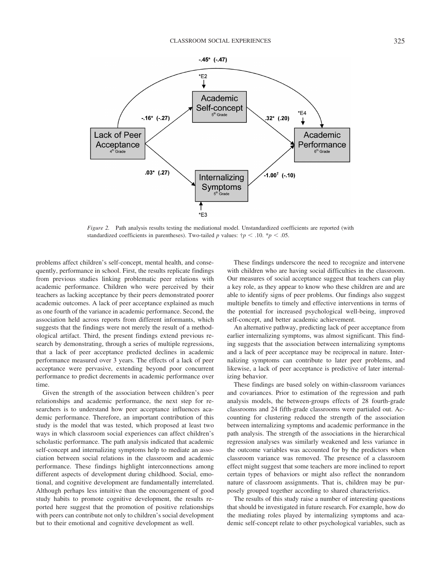

*Figure 2.* Path analysis results testing the mediational model. Unstandardized coefficients are reported (with standardized coefficients in parentheses). Two-tailed *p* values:  $\frac{1}{7}p < .10$ .  $\frac{1}{7}p < .05$ .

problems affect children's self-concept, mental health, and consequently, performance in school. First, the results replicate findings from previous studies linking problematic peer relations with academic performance. Children who were perceived by their teachers as lacking acceptance by their peers demonstrated poorer academic outcomes. A lack of peer acceptance explained as much as one fourth of the variance in academic performance. Second, the association held across reports from different informants, which suggests that the findings were not merely the result of a methodological artifact. Third, the present findings extend previous research by demonstrating, through a series of multiple regressions, that a lack of peer acceptance predicted declines in academic performance measured over 3 years. The effects of a lack of peer acceptance were pervasive, extending beyond poor concurrent performance to predict decrements in academic performance over time.

Given the strength of the association between children's peer relationships and academic performance, the next step for researchers is to understand how peer acceptance influences academic performance. Therefore, an important contribution of this study is the model that was tested, which proposed at least two ways in which classroom social experiences can affect children's scholastic performance. The path analysis indicated that academic self-concept and internalizing symptoms help to mediate an association between social relations in the classroom and academic performance. These findings highlight interconnections among different aspects of development during childhood. Social, emotional, and cognitive development are fundamentally interrelated. Although perhaps less intuitive than the encouragement of good study habits to promote cognitive development, the results reported here suggest that the promotion of positive relationships with peers can contribute not only to children's social development but to their emotional and cognitive development as well.

These findings underscore the need to recognize and intervene with children who are having social difficulties in the classroom. Our measures of social acceptance suggest that teachers can play a key role, as they appear to know who these children are and are able to identify signs of peer problems. Our findings also suggest multiple benefits to timely and effective interventions in terms of the potential for increased psychological well-being, improved self-concept, and better academic achievement.

An alternative pathway, predicting lack of peer acceptance from earlier internalizing symptoms, was almost significant. This finding suggests that the association between internalizing symptoms and a lack of peer acceptance may be reciprocal in nature. Internalizing symptoms can contribute to later peer problems, and likewise, a lack of peer acceptance is predictive of later internalizing behavior.

These findings are based solely on within-classroom variances and covariances. Prior to estimation of the regression and path analysis models, the between-groups effects of 28 fourth-grade classrooms and 24 fifth-grade classrooms were partialed out. Accounting for clustering reduced the strength of the association between internalizing symptoms and academic performance in the path analysis. The strength of the associations in the hierarchical regression analyses was similarly weakened and less variance in the outcome variables was accounted for by the predictors when classroom variance was removed. The presence of a classroom effect might suggest that some teachers are more inclined to report certain types of behaviors or might also reflect the nonrandom nature of classroom assignments. That is, children may be purposely grouped together according to shared characteristics.

The results of this study raise a number of interesting questions that should be investigated in future research. For example, how do the mediating roles played by internalizing symptoms and academic self-concept relate to other psychological variables, such as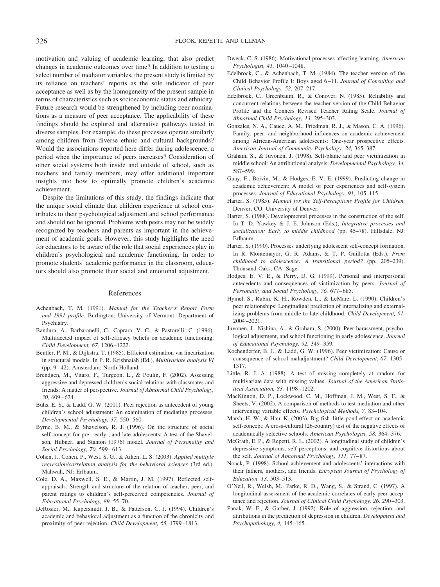motivation and valuing of academic learning, that also predict changes in academic outcomes over time? In addition to testing a select number of mediator variables, the present study is limited by its reliance on teachers' reports as the sole indicator of peer acceptance as well as by the homogeneity of the present sample in terms of characteristics such as socioeconomic status and ethnicity. Future research would be strengthened by including peer nominations as a measure of peer acceptance. The applicability of these findings should be explored and alternative pathways tested in diverse samples. For example, do these processes operate similarly among children from diverse ethnic and cultural backgrounds? Would the associations reported here differ during adolescence, a period when the importance of peers increases? Consideration of other social systems both inside and outside of school, such as teachers and family members, may offer additional important insights into how to optimally promote children's academic achievement.

Despite the limitations of this study, the findings indicate that the unique social climate that children experience at school contributes to their psychological adjustment and school performance and should not be ignored. Problems with peers may not be widely recognized by teachers and parents as important in the achievement of academic goals. However, this study highlights the need for educators to be aware of the role that social experiences play in children's psychological and academic functioning. In order to promote students' academic performance in the classroom, educators should also promote their social and emotional adjustment.

# References

- Achenbach, T. M. (1991). *Manual for the Teacher's Report Form and 1991 profile.* Burlington: University of Vermont, Department of Psychiatry.
- Bandura, A., Barbaranelli, C., Caprara, V. C., & Pastorelli, C. (1996). Multifaceted impact of self-efficacy beliefs on academic functioning. *Child Development, 67,* 1206 –1222.
- Bentler, P. M., & Dijkstra, T. (1985). Efficient estimation via linearization in structural models. In P. R. Krishnaiah (Ed.), *Multivariate analysis VI* (pp. 9 – 42). Amsterdam: North-Holland.
- Brendgen, M., Vitaro, F., Turgeon, L., & Poulin, F. (2002). Assessing aggressive and depressed children's social relations with classmates and friends: A matter of perspective. *Journal of Abnormal Child Psychology, 30,* 609 – 624.
- Buhs, E. S., & Ladd, G. W. (2001). Peer rejection as antecedent of young children's school adjustment: An examination of mediating processes. *Developmental Psychology, 37,* 550 –560.
- Byrne, B. M., & Shavelson, R. J. (1996). On the structure of social self-concept for pre-, early-, and late adolescents: A test of the Shavelson, Hubner, and Stanton (1976) model. *Journal of Personality and Social Psychology, 70,* 599 – 613.
- Cohen, J., Cohen, P., West, S. G., & Aiken, L. S. (2003). *Applied multiple regression/correlation analysis for the behavioral sciences* (3rd ed.). Mahwah, NJ: Erlbaum.
- Cole, D. A., Maxwell, S. E., & Martin, J. M. (1997). Reflected selfappraisals: Strength and structure of the relation of teacher, peer, and parent ratings to children's self-perceived competencies. *Journal of Educational Psychology, 89,* 55–70.
- DeRosier, M., Kupersmidt, J. B., & Patterson, C. J. (1994). Children's academic and behavioral adjustment as a function of the chronicity and proximity of peer rejection. *Child Development, 65,* 1799 –1813.
- Dweck, C. S. (1986). Motivational processes affecting learning. *American Psychologist, 41,* 1040 –1048.
- Edelbrock, C., & Achenbach, T. M. (1984). The teacher version of the Child Behavior Profile I: Boys aged 6 –11. *Journal of Consulting and Clinical Psychology, 52,* 207–217.
- Edelbrock, C., Greenbaum, R., & Conover, N. (1985). Reliability and concurrent relations between the teacher version of the Child Behavior Profile and the Conners Revised Teacher Rating Scale. *Journal of Abnormal Child Psychology, 13,* 295–303.
- Gonzales, N. A., Cauce, A. M., Friedman, R. J., & Mason, C. A. (1996). Family, peer, and neighborhood influences on academic achievement among African-American adolescents: One-year prospective effects. *American Journal of Community Psychology, 24,* 365–387.
- Graham, S., & Juvonen, J. (1998). Self-blame and peer victimization in middle school: An attributional analysis. *Developmental Psychology, 34,* 587–599.
- Guay, F., Boivin, M., & Hodges, E. V. E. (1999). Predicting change in academic achievement: A model of peer experiences and self-system processes. *Journal of Educational Psychology, 91,* 105–115.
- Harter, S. (1985). *Manual for the Self-Perceptions Profile for Children.* Denver, CO: University of Denver.
- Harter, S. (1988). Developmental processes in the construction of the self. In T. D. Yawkey & J. E. Johnson (Eds.), *Integrative processes and socialization: Early to middle childhood* (pp. 45–78). Hillsdale, NJ: Erlbaum.
- Harter, S. (1990). Processes underlying adolescent self-concept formation. In R. Montemayor, G. R. Adams, & T. P. Guillotta (Eds.), *From childhood to adolescence: A transitional period?* (pp. 205–239). Thousand Oaks, CA: Sage.
- Hodges, E. V. E., & Perry, D. G. (1999). Personal and interpersonal antecedents and consequences of victimization by peers. *Journal of* Personality and Social Psychology, 76, 677-685.
- Hymel, S., Rubin, K. H., Rowden, L., & LeMare, L. (1990). Children's peer relationships: Longitudinal prediction of internalizing and externalizing problems from middle to late childhood. *Child Development, 61,* 2004 –2021.
- Juvonen, J., Nishina, A., & Graham, S. (2000). Peer harassment, psychological adjustment, and school functioning in early adolescence. *Journal of Educational Psychology, 92,* 349 –359.
- Kochenderfer, B. J., & Ladd, G. W. (1996). Peer victimization: Cause or consequence of school maladjustment? *Child Development, 67,* 1305– 1317.
- Little, R. J. A. (1988). A test of missing completely at random for multivariate data with missing values. *Journal of the American Statistical Association, 83,* 1198 –1202.
- MacKinnon, D. P., Lockwood, C. M., Hoffman, J. M., West, S. F., & Sheets, V. (2002). A comparison of methods to test mediation and other intervening variable effects. *Psychological Methods, 7,* 83–104.
- Marsh, H. W., & Hau, K. (2003). Big-fish–little-pond effect on academic self-concept: A cross-cultural (26-country) test of the negative effects of academically selective schools. *American Psychologist, 58,* 364 –376.
- McGrath, E. P., & Repetti, R. L. (2002). A longitudinal study of children's depressive symptoms, self-perceptions, and cognitive distortions about the self. *Journal of Abnormal Psychology, 111, 77-87*.
- Noack, P. (1998). School achievement and adolescents' interactions with their fathers, mothers, and friends. *European Journal of Psychology of Education, 13,* 503–513.
- O'Neil, R., Welsh, M., Parke, R. D., Wang, S., & Strand, C. (1997). A longitudinal assessment of the academic correlates of early peer acceptance and rejection. *Journal of Clinical Child Psychology, 26,* 290 –303.
- Panak, W. F., & Garber, J. (1992). Role of aggression, rejection, and attributions in the prediction of depression in children. *Development and Psychopathology, 4,* 145–165.